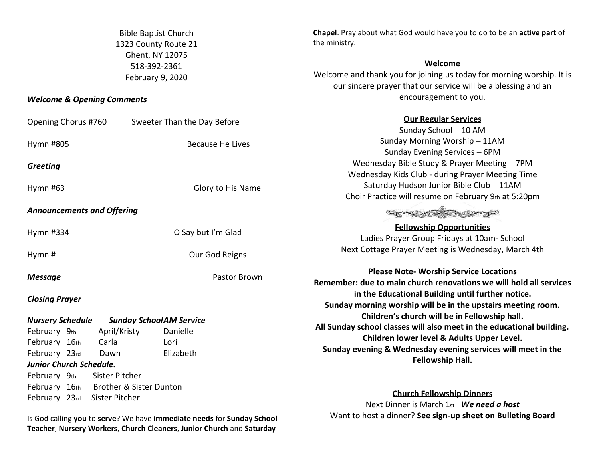Bible Baptist Church 1323 County Route 21 Ghent, NY 12075 518-392-2361 February 9, 2020

## *Welcome & Opening Comments*

Opening Chorus #760 Sweeter Than the Day Before Sunday School – 10 AM Sunday Morning Worship – 11AM Hymn #805 Because He Lives Sunday Evening Services – 6PM Wednesday Bible Study & Prayer Meeting – 7PM *Greeting* Wednesday Kids Club - during Prayer Meeting Time Saturday Hudson Junior Bible Club – 11AM Hymn #63 Glory to His Name Choir Practice will resume on February 9th at 5:20pm *Announcements and Offering* CONFECTOR DO **Fellowship Opportunities** Hymn #334 O Say but I'm Glad Ladies Prayer Group Fridays at 10am- School Next Cottage Prayer Meeting is Wednesday, March 4th Hymn # Our God Reigns **Please Note- Worship Service Locations Message** Pastor Brown **in the Educational Building until further notice.** *Closing Prayer* **Sunday morning worship will be in the upstairs meeting room. Children's church will be in Fellowship hall.** *Nursery Schedule Sunday SchoolAM Service*  February 9th April/Kristy Danielle **Children lower level & Adults Upper Level.** February 16th Carla Lori February 23rd Dawn Elizabeth **Fellowship Hall.**  *Junior Church Schedule.*  February 9th Sister Pitcher February 16th Brother & Sister Dunton **Church Fellowship Dinners** February 23rd Sister Pitcher

Is God calling **you** to **serve**? We have **immediate needs** for **Sunday School Teacher**, **Nursery Workers**, **Church Cleaners**, **Junior Church** and **Saturday** 

**Chapel**. Pray about what God would have you to do to be an **active part** of the ministry.

## **Welcome**

Welcome and thank you for joining us today for morning worship. It is our sincere prayer that our service will be a blessing and an encouragement to you.

## **Our Regular Services**

**Remember: due to main church renovations we will hold all services All Sunday school classes will also meet in the educational building. Sunday evening & Wednesday evening services will meet in the** 

Next Dinner is March 1st –*We need a host* Want to host a dinner? **See sign-up sheet on Bulleting Board**